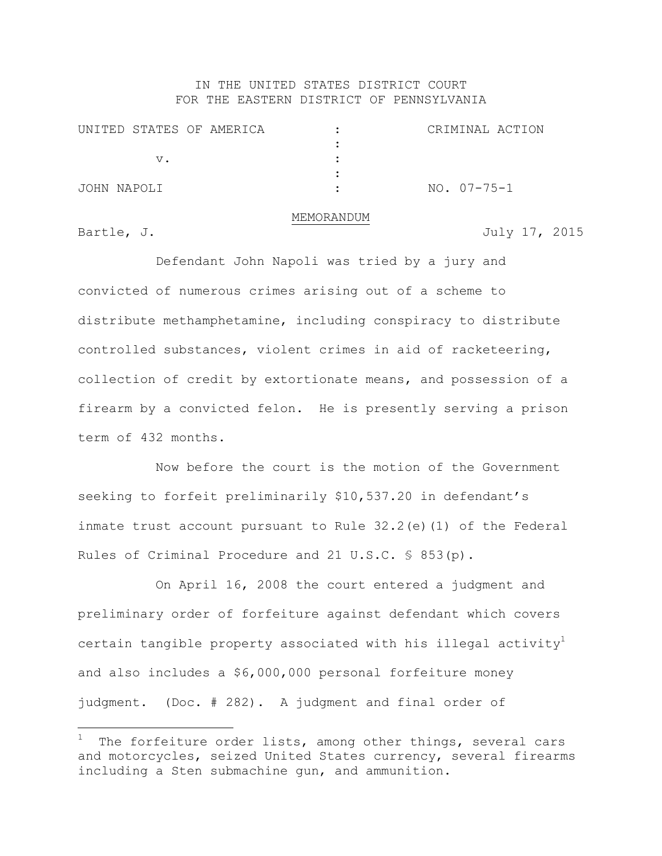## IN THE UNITED STATES DISTRICT COURT FOR THE EASTERN DISTRICT OF PENNSYLVANIA

| UNITED STATES OF AMERICA |  | CRIMINAL ACTION |  |
|--------------------------|--|-----------------|--|
|                          |  |                 |  |
| v.                       |  |                 |  |
|                          |  |                 |  |
| JOHN NAPOLI              |  | NO. 07-75-1     |  |

## MEMORANDUM

÷.

Bartle, J. 3015

Defendant John Napoli was tried by a jury and convicted of numerous crimes arising out of a scheme to distribute methamphetamine, including conspiracy to distribute controlled substances, violent crimes in aid of racketeering, collection of credit by extortionate means, and possession of a firearm by a convicted felon. He is presently serving a prison term of 432 months.

Now before the court is the motion of the Government seeking to forfeit preliminarily \$10,537.20 in defendant's inmate trust account pursuant to Rule 32.2(e)(1) of the Federal Rules of Criminal Procedure and 21 U.S.C. § 853(p).

On April 16, 2008 the court entered a judgment and preliminary order of forfeiture against defendant which covers certain tangible property associated with his illegal activity<sup>1</sup> and also includes a \$6,000,000 personal forfeiture money judgment. (Doc. # 282). A judgment and final order of

The forfeiture order lists, among other things, several cars and motorcycles, seized United States currency, several firearms including a Sten submachine gun, and ammunition.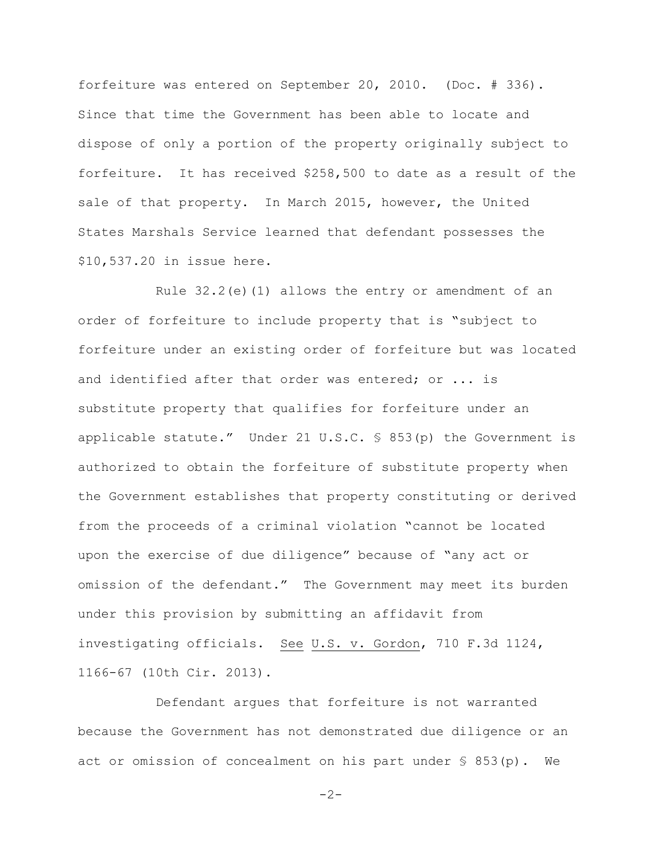forfeiture was entered on September 20, 2010. (Doc. # 336). Since that time the Government has been able to locate and dispose of only a portion of the property originally subject to forfeiture. It has received \$258,500 to date as a result of the sale of that property. In March 2015, however, the United States Marshals Service learned that defendant possesses the \$10,537.20 in issue here.

Rule 32.2(e)(1) allows the entry or amendment of an order of forfeiture to include property that is "subject to forfeiture under an existing order of forfeiture but was located and identified after that order was entered; or ... is substitute property that qualifies for forfeiture under an applicable statute." Under 21 U.S.C. § 853(p) the Government is authorized to obtain the forfeiture of substitute property when the Government establishes that property constituting or derived from the proceeds of a criminal violation "cannot be located upon the exercise of due diligence" because of "any act or omission of the defendant." The Government may meet its burden under this provision by submitting an affidavit from investigating officials. See U.S. v. Gordon, 710 F.3d 1124, 1166-67 (10th Cir. 2013).

Defendant argues that forfeiture is not warranted because the Government has not demonstrated due diligence or an act or omission of concealment on his part under § 853(p). We

-2-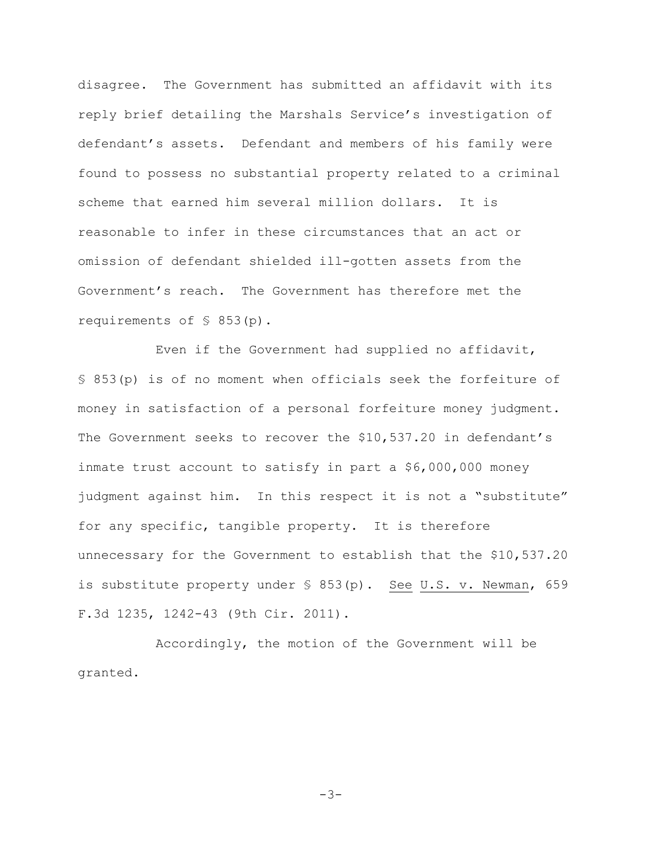disagree. The Government has submitted an affidavit with its reply brief detailing the Marshals Service's investigation of defendant's assets. Defendant and members of his family were found to possess no substantial property related to a criminal scheme that earned him several million dollars. It is reasonable to infer in these circumstances that an act or omission of defendant shielded ill-gotten assets from the Government's reach. The Government has therefore met the requirements of § 853(p).

Even if the Government had supplied no affidavit, § 853(p) is of no moment when officials seek the forfeiture of money in satisfaction of a personal forfeiture money judgment. The Government seeks to recover the \$10,537.20 in defendant's inmate trust account to satisfy in part a \$6,000,000 money judgment against him. In this respect it is not a "substitute" for any specific, tangible property. It is therefore unnecessary for the Government to establish that the \$10,537.20 is substitute property under § 853(p). See U.S. v. Newman, 659 F.3d 1235, 1242-43 (9th Cir. 2011).

Accordingly, the motion of the Government will be granted.

-3-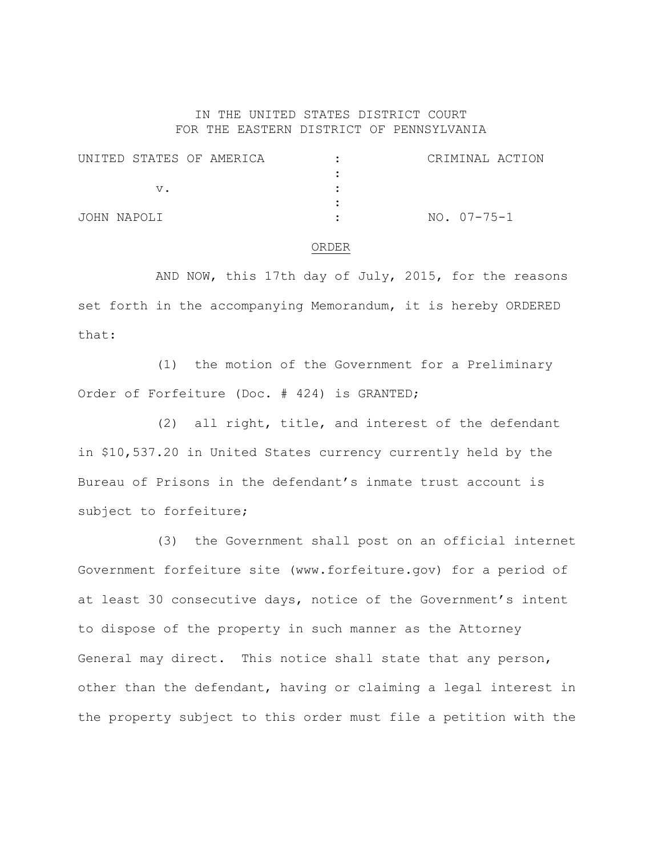## IN THE UNITED STATES DISTRICT COURT FOR THE EASTERN DISTRICT OF PENNSYLVANIA

| UNITED STATES OF AMERICA | CRIMINAL ACTION |
|--------------------------|-----------------|
|                          |                 |
| VZ.                      |                 |
|                          |                 |
| JOHN NAPOLI              | NO. 07-75-1     |

## ORDER

AND NOW, this 17th day of July, 2015, for the reasons set forth in the accompanying Memorandum, it is hereby ORDERED that:

(1) the motion of the Government for a Preliminary Order of Forfeiture (Doc. # 424) is GRANTED;

(2) all right, title, and interest of the defendant in \$10,537.20 in United States currency currently held by the Bureau of Prisons in the defendant's inmate trust account is subject to forfeiture;

(3) the Government shall post on an official internet Government forfeiture site (www.forfeiture.gov) for a period of at least 30 consecutive days, notice of the Government's intent to dispose of the property in such manner as the Attorney General may direct. This notice shall state that any person, other than the defendant, having or claiming a legal interest in the property subject to this order must file a petition with the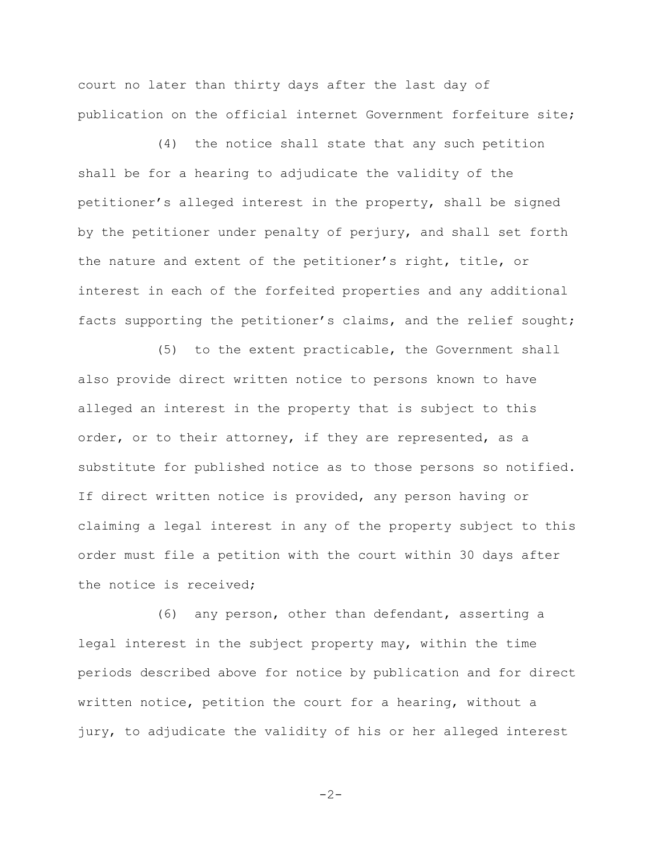court no later than thirty days after the last day of publication on the official internet Government forfeiture site;

(4) the notice shall state that any such petition shall be for a hearing to adjudicate the validity of the petitioner's alleged interest in the property, shall be signed by the petitioner under penalty of perjury, and shall set forth the nature and extent of the petitioner's right, title, or interest in each of the forfeited properties and any additional facts supporting the petitioner's claims, and the relief sought;

(5) to the extent practicable, the Government shall also provide direct written notice to persons known to have alleged an interest in the property that is subject to this order, or to their attorney, if they are represented, as a substitute for published notice as to those persons so notified. If direct written notice is provided, any person having or claiming a legal interest in any of the property subject to this order must file a petition with the court within 30 days after the notice is received;

(6) any person, other than defendant, asserting a legal interest in the subject property may, within the time periods described above for notice by publication and for direct written notice, petition the court for a hearing, without a jury, to adjudicate the validity of his or her alleged interest

$$
-2-
$$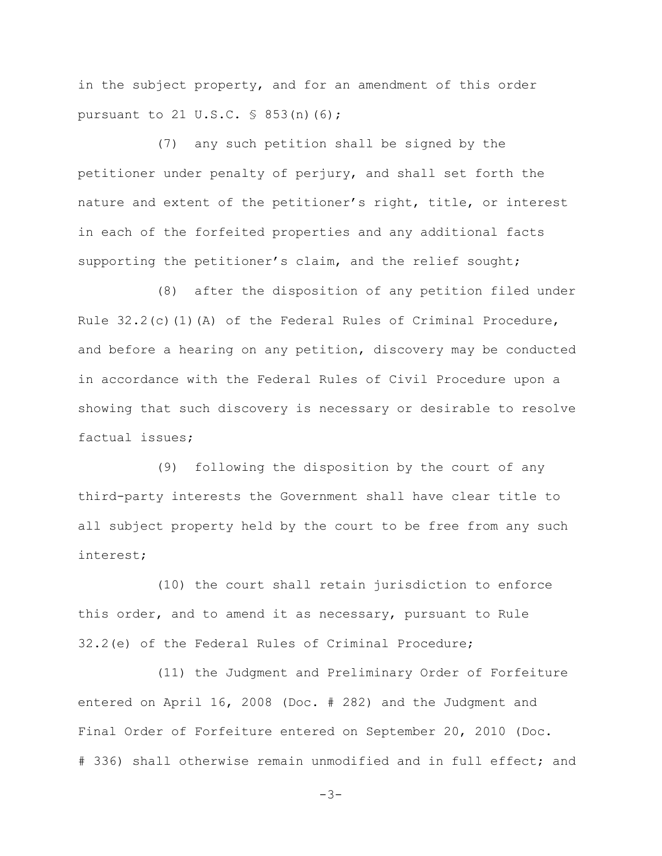in the subject property, and for an amendment of this order pursuant to 21 U.S.C. § 853(n)(6);

(7) any such petition shall be signed by the petitioner under penalty of perjury, and shall set forth the nature and extent of the petitioner's right, title, or interest in each of the forfeited properties and any additional facts supporting the petitioner's claim, and the relief sought;

(8) after the disposition of any petition filed under Rule 32.2(c)(1)(A) of the Federal Rules of Criminal Procedure, and before a hearing on any petition, discovery may be conducted in accordance with the Federal Rules of Civil Procedure upon a showing that such discovery is necessary or desirable to resolve factual issues;

(9) following the disposition by the court of any third-party interests the Government shall have clear title to all subject property held by the court to be free from any such interest;

(10) the court shall retain jurisdiction to enforce this order, and to amend it as necessary, pursuant to Rule 32.2(e) of the Federal Rules of Criminal Procedure;

(11) the Judgment and Preliminary Order of Forfeiture entered on April 16, 2008 (Doc. # 282) and the Judgment and Final Order of Forfeiture entered on September 20, 2010 (Doc. # 336) shall otherwise remain unmodified and in full effect; and

```
-3-
```